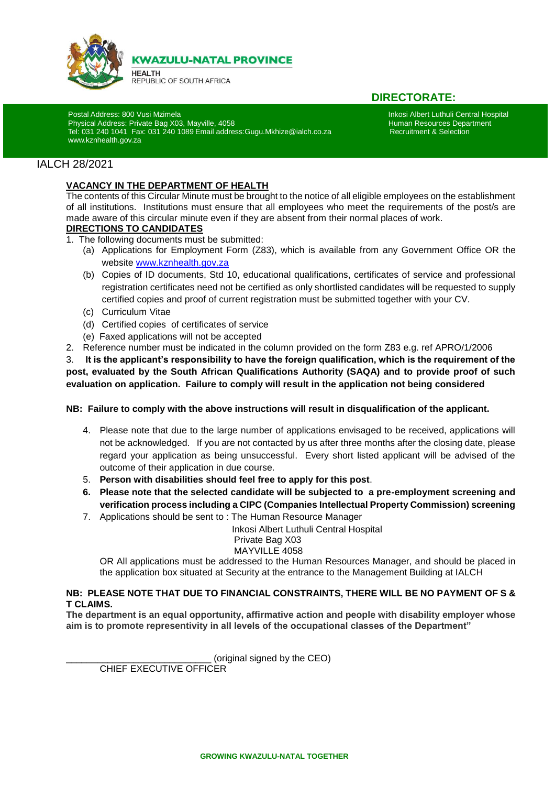

**KWAZULU-NATAL PROVINCE** 

**HEALTH** REPUBLIC OF SOUTH AFRICA

# **DIRECTORATE:**

Physical Address: Private Bag X03, Mayville, 4058<br>Tel: 031 240 1041 Fax: 031 240 1089 Email address:Gugu.Mkhize@ialch.co.za https://www.mater.co.za Tel: 031 240 1041 Fax: 031 240 1089 Email address:Gugu.Mkhize@ialch.co.za [www.kznhealth.gov.za](http://www.kznhealth.gov.za/)

Postal Address: 800 Vusi Mzimela<br>Physical Address: Private Bag X03, Mayville, 4058 **International International Hospital Hospital** International Hospital Physical Address: Private Bag X03, Mayville, 4058 **International Int** 

### IALCH 28/2021

i

#### **VACANCY IN THE DEPARTMENT OF HEALTH**

The contents of this Circular Minute must be brought to the notice of all eligible employees on the establishment of all institutions. Institutions must ensure that all employees who meet the requirements of the post/s are made aware of this circular minute even if they are absent from their normal places of work.

# **DIRECTIONS TO CANDIDATES**

- 1. The following documents must be submitted:
	- (a) Applications for Employment Form (Z83), which is available from any Government Office OR the website [www.kznhealth.gov.za](http://www.kznhealth.gov.za/)
	- (b) Copies of ID documents, Std 10, educational qualifications, certificates of service and professional registration certificates need not be certified as only shortlisted candidates will be requested to supply certified copies and proof of current registration must be submitted together with your CV.
	- (c) Curriculum Vitae
	- (d) Certified copies of certificates of service
	- (e) Faxed applications will not be accepted
- 2. Reference number must be indicated in the column provided on the form Z83 e.g. ref APRO/1/2006

3. **It is the applicant's responsibility to have the foreign qualification, which is the requirement of the post, evaluated by the South African Qualifications Authority (SAQA) and to provide proof of such evaluation on application. Failure to comply will result in the application not being considered**

#### **NB: Failure to comply with the above instructions will result in disqualification of the applicant.**

- 4. Please note that due to the large number of applications envisaged to be received, applications will not be acknowledged. If you are not contacted by us after three months after the closing date, please regard your application as being unsuccessful. Every short listed applicant will be advised of the outcome of their application in due course.
- 5. **Person with disabilities should feel free to apply for this post**.
- **6. Please note that the selected candidate will be subjected to a pre-employment screening and verification process including a CIPC (Companies Intellectual Property Commission) screening**
- 7. Applications should be sent to : The Human Resource Manager

 Inkosi Albert Luthuli Central Hospital Private Bag X03 MAYVILLE 4058

OR All applications must be addressed to the Human Resources Manager, and should be placed in the application box situated at Security at the entrance to the Management Building at IALCH

#### **NB: PLEASE NOTE THAT DUE TO FINANCIAL CONSTRAINTS, THERE WILL BE NO PAYMENT OF S & T CLAIMS.**

**The department is an equal opportunity, affirmative action and people with disability employer whose aim is to promote representivity in all levels of the occupational classes of the Department"**

(original signed by the CEO)

CHIEF EXECUTIVE OFFICER